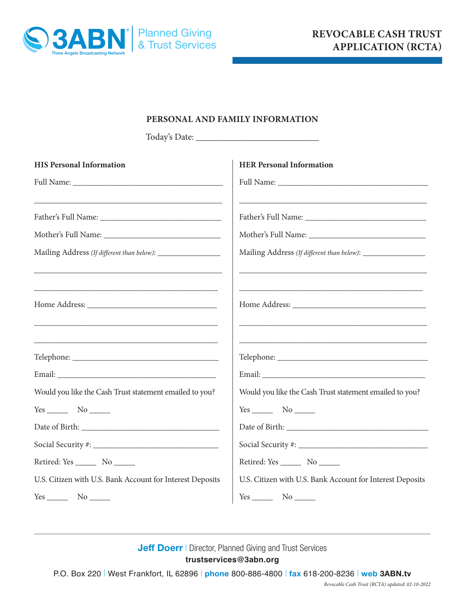

## **PERSONAL AND FAMILY INFORMATION**

Today's Date: \_\_\_\_\_\_\_\_\_\_\_\_\_\_\_\_\_\_\_\_\_\_\_\_\_\_\_

| <b>HIS Personal Information</b>                                                                                       | <b>HER Personal Information</b>                                                                                                                                            |
|-----------------------------------------------------------------------------------------------------------------------|----------------------------------------------------------------------------------------------------------------------------------------------------------------------------|
|                                                                                                                       |                                                                                                                                                                            |
|                                                                                                                       |                                                                                                                                                                            |
|                                                                                                                       |                                                                                                                                                                            |
|                                                                                                                       |                                                                                                                                                                            |
| Mailing Address (If different than below): _________________                                                          |                                                                                                                                                                            |
|                                                                                                                       |                                                                                                                                                                            |
| <u> 1989 - Johann Barn, mars ann an t-Amhain ann an t-Amhain ann an t-Amhain ann an t-Amhain an t-Amhain an t-Amh</u> | <u> 1989 - Johann Stoff, deutscher Stoff, der Stoff, der Stoff, der Stoff, der Stoff, der Stoff, der Stoff, der S</u><br>Home Address: North Communication of the Address: |
| <u> 1989 - Johann Stoff, deutscher Stoff, der Stoff, der Stoff, der Stoff, der Stoff, der Stoff, der Stoff, der S</u> | <u> 1989 - Johann Harry Harry Harry Harry Harry Harry Harry Harry Harry Harry Harry Harry Harry Harry Harry Harry</u>                                                      |
|                                                                                                                       |                                                                                                                                                                            |
|                                                                                                                       |                                                                                                                                                                            |
| Would you like the Cash Trust statement emailed to you?                                                               | Would you like the Cash Trust statement emailed to you?                                                                                                                    |
|                                                                                                                       | $Yes$ No $No$                                                                                                                                                              |
|                                                                                                                       |                                                                                                                                                                            |
|                                                                                                                       |                                                                                                                                                                            |
| Retired: Yes _________ No _______                                                                                     | Retired: Yes _________ No _______                                                                                                                                          |
| U.S. Citizen with U.S. Bank Account for Interest Deposits                                                             | U.S. Citizen with U.S. Bank Account for Interest Deposits                                                                                                                  |
|                                                                                                                       | $Yes$ No $\_\_\_\$                                                                                                                                                         |

## **Jeff Doerr | Director, Planned Giving and Trust Services trustservices@3abn.org**

P.O. Box 220 | West Frankfort, IL 62896 | **phone** 800-886-4800 | **fax** 618-200-8236 | **web 3ABN.tv**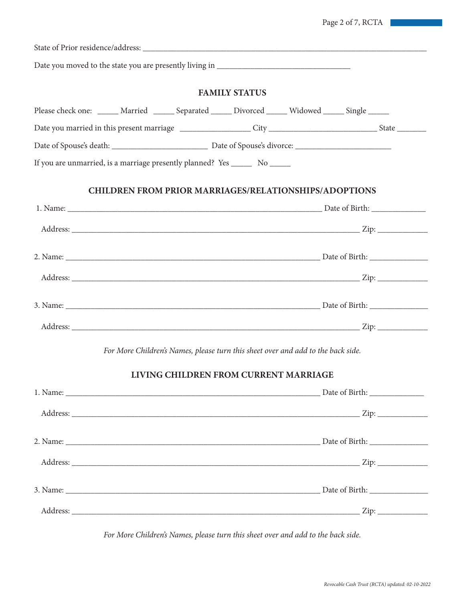State of Prior residence/address: \_\_\_\_\_\_\_\_\_\_\_\_\_\_\_\_\_\_\_\_\_\_\_\_\_\_\_\_\_\_\_\_\_\_\_\_\_\_\_\_\_\_\_\_\_\_\_\_\_\_\_\_\_\_\_\_\_\_\_\_\_\_\_\_\_\_\_\_ Date you moved to the state you are presently living in \_\_\_\_\_\_\_\_\_\_\_\_\_\_\_\_\_\_\_\_\_\_\_\_\_ **FAMILY STATUS** Please check one: \_\_\_\_\_\_ Married \_\_\_\_\_\_ Separated \_\_\_\_\_ Divorced \_\_\_\_\_ Widowed \_\_\_\_\_ Single \_\_\_\_\_ Date you married in this present marriage \_\_\_\_\_\_\_\_\_\_\_\_\_\_\_\_\_ City \_\_\_\_\_\_\_\_\_\_\_\_\_\_\_\_\_\_\_\_\_\_\_\_\_\_ State \_\_\_\_\_\_\_ Date of Spouse's death: \_\_\_\_\_\_\_\_\_\_\_\_\_\_\_\_\_\_\_\_\_\_\_ Date of Spouse's divorce: \_\_\_\_\_\_\_\_\_\_\_\_\_\_\_\_\_\_\_\_\_\_\_ If you are unmarried, is a marriage presently planned? Yes \_\_\_\_\_\_ No \_\_\_\_\_\_ **CHILDREN FROM PRIOR MARRIAGES/RELATIONSHIPS/ADOPTIONS** 1. Name: <u>Date of Birth:</u>  $\Box$ Address: \_\_\_\_\_\_\_\_\_\_\_\_\_\_\_\_\_\_\_\_\_\_\_\_\_\_\_\_\_\_\_\_\_\_\_\_\_\_\_\_\_\_\_\_\_\_\_\_\_\_\_\_\_\_\_\_\_\_\_\_\_\_\_\_\_\_\_\_\_ Zip: \_\_\_\_\_\_\_\_\_\_\_\_ 2. Name:  $\Box$  Date of Birth: Address: \_\_\_\_\_\_\_\_\_\_\_\_\_\_\_\_\_\_\_\_\_\_\_\_\_\_\_\_\_\_\_\_\_\_\_\_\_\_\_\_\_\_\_\_\_\_\_\_\_\_\_\_\_\_\_\_\_\_\_\_\_\_\_\_\_\_\_\_\_ Zip: \_\_\_\_\_\_\_\_\_\_\_\_ 3. Name: \_\_\_\_\_\_\_\_\_\_\_\_\_\_\_\_\_\_\_\_\_\_\_\_\_\_\_\_\_\_\_\_\_\_\_\_\_\_\_\_\_\_\_\_\_\_\_\_\_\_\_\_\_\_\_\_\_\_\_\_\_ Date of Birth: \_\_\_\_\_\_\_\_\_\_\_\_\_\_ Address: \_\_\_\_\_\_\_\_\_\_\_\_\_\_\_\_\_\_\_\_\_\_\_\_\_\_\_\_\_\_\_\_\_\_\_\_\_\_\_\_\_\_\_\_\_\_\_\_\_\_\_\_\_\_\_\_\_\_\_\_\_\_\_\_\_\_\_\_\_ Zip: \_\_\_\_\_\_\_\_\_\_\_\_ *For More Children's Names, please turn this sheet over and add to the back side.* **LIVING CHILDREN FROM CURRENT MARRIAGE** 1. Name: <u>Date of Birth:</u>  $\Box$ Address: \_\_\_\_\_\_\_\_\_\_\_\_\_\_\_\_\_\_\_\_\_\_\_\_\_\_\_\_\_\_\_\_\_\_\_\_\_\_\_\_\_\_\_\_\_\_\_\_\_\_\_\_\_\_\_\_\_\_\_\_\_\_\_\_\_\_\_\_\_ Zip: \_\_\_\_\_\_\_\_\_\_\_\_ 2. Name: \_\_\_\_\_\_\_\_\_\_\_\_\_\_\_\_\_\_\_\_\_\_\_\_\_\_\_\_\_\_\_\_\_\_\_\_\_\_\_\_\_\_\_\_\_\_\_\_\_\_\_\_\_\_\_\_\_\_\_\_\_ Date of Birth: \_\_\_\_\_\_\_\_\_\_\_\_\_\_ Address: \_\_\_\_\_\_\_\_\_\_\_\_\_\_\_\_\_\_\_\_\_\_\_\_\_\_\_\_\_\_\_\_\_\_\_\_\_\_\_\_\_\_\_\_\_\_\_\_\_\_\_\_\_\_\_\_\_\_\_\_\_\_\_\_\_\_\_\_\_ Zip: \_\_\_\_\_\_\_\_\_\_\_\_ 3. Name: Date of Birth:

*For More Children's Names, please turn this sheet over and add to the back side.*

Address: \_\_\_\_\_\_\_\_\_\_\_\_\_\_\_\_\_\_\_\_\_\_\_\_\_\_\_\_\_\_\_\_\_\_\_\_\_\_\_\_\_\_\_\_\_\_\_\_\_\_\_\_\_\_\_\_\_\_\_\_\_\_\_\_\_\_\_\_\_ Zip: \_\_\_\_\_\_\_\_\_\_\_\_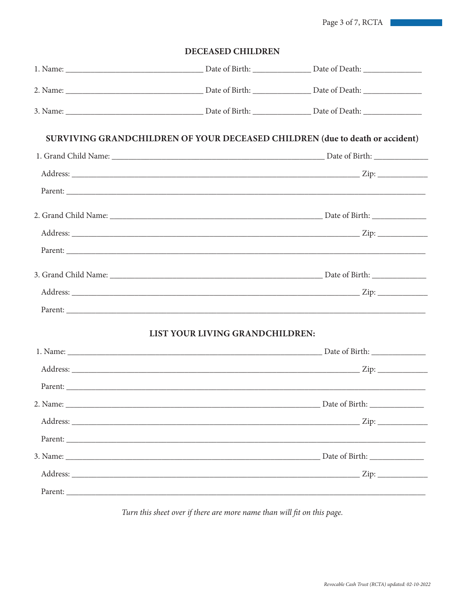Page 3 of 7, RCTA

| <b>DECEASED CHILDREN</b> |
|--------------------------|
|                          |

|                                 | <b>SURVIVING GRANDCHILDREN OF YOUR DECEASED CHILDREN (due to death or accident)</b> |  |
|---------------------------------|-------------------------------------------------------------------------------------|--|
|                                 |                                                                                     |  |
|                                 |                                                                                     |  |
|                                 |                                                                                     |  |
|                                 |                                                                                     |  |
|                                 |                                                                                     |  |
|                                 |                                                                                     |  |
|                                 |                                                                                     |  |
|                                 |                                                                                     |  |
|                                 |                                                                                     |  |
| LIST YOUR LIVING GRANDCHILDREN: |                                                                                     |  |
|                                 |                                                                                     |  |
|                                 |                                                                                     |  |
|                                 |                                                                                     |  |
|                                 |                                                                                     |  |
|                                 |                                                                                     |  |
|                                 |                                                                                     |  |
|                                 |                                                                                     |  |
|                                 |                                                                                     |  |
|                                 |                                                                                     |  |

Turn this sheet over if there are more name than will fit on this page.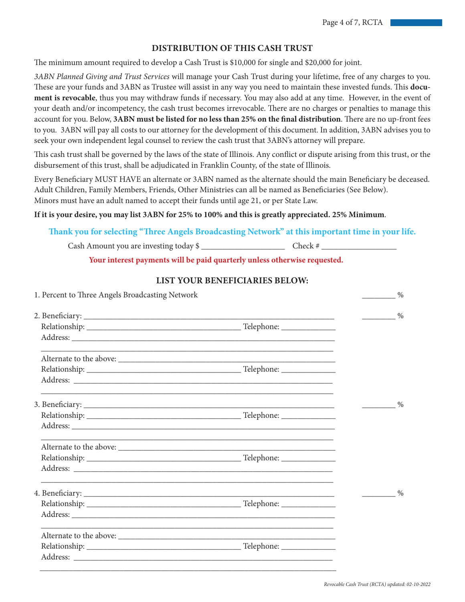## **DISTRIBUTION OF THIS CASH TRUST**

The minimum amount required to develop a Cash Trust is \$10,000 for single and \$20,000 for joint.

*3ABN Planned Giving and Trust Services* will manage your Cash Trust during your lifetime, free of any charges to you. These are your funds and 3ABN as Trustee will assist in any way you need to maintain these invested funds. This **document is revocable**, thus you may withdraw funds if necessary. You may also add at any time. However, in the event of your death and/or incompetency, the cash trust becomes irrevocable. There are no charges or penalties to manage this account for you. Below, **3ABN must be listed for no less than 25% on the final distribution**. There are no up-front fees to you. 3ABN will pay all costs to our attorney for the development of this document. In addition, 3ABN advises you to seek your own independent legal counsel to review the cash trust that 3ABN's attorney will prepare.

This cash trust shall be governed by the laws of the state of Illinois. Any conflict or dispute arising from this trust, or the disbursement of this trust, shall be adjudicated in Franklin County, of the state of Illinois.

Every Beneficiary MUST HAVE an alternate or 3ABN named as the alternate should the main Beneficiary be deceased. Adult Children, Family Members, Friends, Other Ministries can all be named as Beneficiaries (See Below). Minors must have an adult named to accept their funds until age 21, or per State Law.

#### **If it is your desire, you may list 3ABN for 25% to 100% and this is greatly appreciated. 25% Minimum**.

### **Thank you for selecting "Three Angels Broadcasting Network" at this important time in your life.**

Cash Amount you are investing today  $\frac{1}{2}$  Check #

**Your interest payments will be paid quarterly unless otherwise requested.**

| LIST YOUR BENEFICIARIES BELOW: |
|--------------------------------|
|--------------------------------|

| 1. Percent to Three Angels Broadcasting Network |  | $\%$ |  |
|-------------------------------------------------|--|------|--|
|                                                 |  | $\%$ |  |
|                                                 |  |      |  |
|                                                 |  |      |  |
|                                                 |  |      |  |
|                                                 |  |      |  |
|                                                 |  |      |  |
|                                                 |  | $\%$ |  |
|                                                 |  |      |  |
|                                                 |  |      |  |
|                                                 |  |      |  |
|                                                 |  |      |  |
|                                                 |  |      |  |
|                                                 |  | $\%$ |  |
|                                                 |  |      |  |
|                                                 |  |      |  |
|                                                 |  |      |  |
|                                                 |  |      |  |
|                                                 |  |      |  |
|                                                 |  |      |  |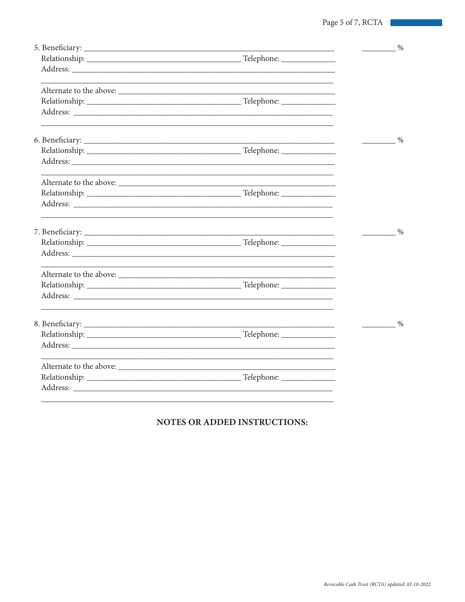|  | $\%$ |
|--|------|
|  |      |
|  |      |
|  |      |
|  |      |
|  |      |
|  | $\%$ |
|  |      |
|  |      |
|  |      |
|  |      |
|  |      |
|  | $\%$ |
|  |      |
|  |      |
|  |      |
|  |      |
|  |      |
|  | $\%$ |
|  |      |
|  |      |
|  |      |
|  |      |
|  |      |
|  |      |

# NOTES OR ADDED INSTRUCTIONS: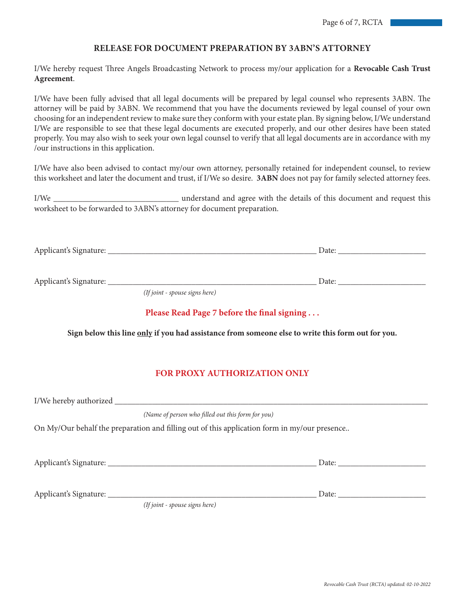### **RELEASE FOR DOCUMENT PREPARATION BY 3ABN'S ATTORNEY**

I/We hereby request Three Angels Broadcasting Network to process my/our application for a **Revocable Cash Trust Agreement**.

I/We have been fully advised that all legal documents will be prepared by legal counsel who represents 3ABN. The attorney will be paid by 3ABN. We recommend that you have the documents reviewed by legal counsel of your own choosing for an independent review to make sure they conform with your estate plan. By signing below, I/We understand I/We are responsible to see that these legal documents are executed properly, and our other desires have been stated properly. You may also wish to seek your own legal counsel to verify that all legal documents are in accordance with my /our instructions in this application.

I/We have also been advised to contact my/our own attorney, personally retained for independent counsel, to review this worksheet and later the document and trust, if I/We so desire. **3ABN** does not pay for family selected attorney fees.

I/We \_\_\_\_\_\_\_\_\_\_\_\_\_\_\_\_\_\_\_\_\_\_\_\_\_\_\_\_\_\_ understand and agree with the details of this document and request this worksheet to be forwarded to 3ABN's attorney for document preparation.

| Apr<br>$\overline{1}$<br>. | <u>i</u> ucc |
|----------------------------|--------------|
| $\sim$ $\sim$              |              |
|                            |              |

Applicant's Signature: \_\_\_\_\_\_\_\_\_\_\_\_\_\_\_\_\_\_\_\_\_\_\_\_\_\_\_\_\_\_\_\_\_\_\_\_\_\_\_\_\_\_\_\_\_\_\_\_\_\_ Date: \_\_\_\_\_\_\_\_\_\_\_\_\_\_\_\_\_\_\_\_\_

*(If joint - spouse signs here)*

#### **Please Read Page 7 before the final signing . . .**

**Sign below this line only if you had assistance from someone else to write this form out for you.**

#### **FOR PROXY AUTHORIZATION ONLY**

I/We hereby authorized \_\_\_\_\_\_\_\_\_\_\_\_\_\_\_\_\_\_\_\_\_\_\_\_\_\_\_\_\_\_\_\_\_\_\_\_\_\_\_\_\_\_\_\_\_\_\_\_\_\_\_\_\_\_\_\_\_\_\_\_\_\_\_\_\_\_\_\_\_\_\_\_\_\_\_ *(Name of person who filled out this form for you)* On My/Our behalf the preparation and filling out of this application form in my/our presence.. Applicant's Signature: \_\_\_\_\_\_\_\_\_\_\_\_\_\_\_\_\_\_\_\_\_\_\_\_\_\_\_\_\_\_\_\_\_\_\_\_\_\_\_\_\_\_\_\_\_\_\_\_\_\_ Date: \_\_\_\_\_\_\_\_\_\_\_\_\_\_\_\_\_\_\_\_\_ Applicant's Signature: \_\_\_\_\_\_\_\_\_\_\_\_\_\_\_\_\_\_\_\_\_\_\_\_\_\_\_\_\_\_\_\_\_\_\_\_\_\_\_\_\_\_\_\_\_\_\_\_\_\_ Date: \_\_\_\_\_\_\_\_\_\_\_\_\_\_\_\_\_\_\_\_\_ *(If joint - spouse signs here)*

*Revocable Cash Trust (RCTA) updated: 02-10-2022*